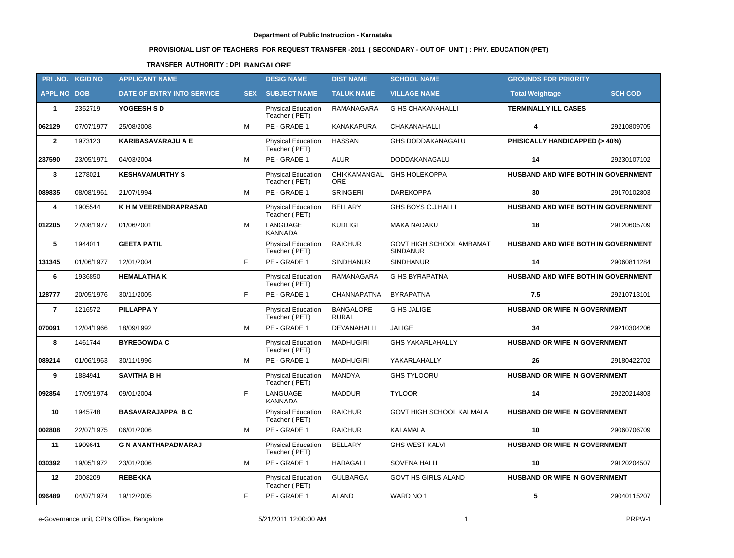# **PROVISIONAL LIST OF TEACHERS FOR REQUEST TRANSFER -2011 ( SECONDARY - OUT OF UNIT ) : PHY. EDUCATION (PET)**

## **TRANSFER AUTHORITY : DPI BANGALORE**

|                    | PRI.NO. KGID NO | <b>APPLICANT NAME</b>      |            | <b>DESIG NAME</b>                          | <b>DIST NAME</b>                 | <b>SCHOOL NAME</b>                          | <b>GROUNDS FOR PRIORITY</b>          |                |
|--------------------|-----------------|----------------------------|------------|--------------------------------------------|----------------------------------|---------------------------------------------|--------------------------------------|----------------|
| <b>APPL NO DOB</b> |                 | DATE OF ENTRY INTO SERVICE | <b>SEX</b> | <b>SUBJECT NAME</b>                        | <b>TALUK NAME</b>                | <b>VILLAGE NAME</b>                         | <b>Total Weightage</b>               | <b>SCH COD</b> |
| $\mathbf{1}$       | 2352719         | YOGEESH S D                |            | Physical Education<br>Teacher (PET)        | RAMANAGARA                       | <b>G HS CHAKANAHALLI</b>                    | <b>TERMINALLY ILL CASES</b>          |                |
| 062129             | 07/07/1977      | 25/08/2008                 | м          | PE - GRADE 1                               | <b>KANAKAPURA</b>                | CHAKANAHALLI                                | 4                                    | 29210809705    |
| $\overline{2}$     | 1973123         | <b>KARIBASAVARAJU A E</b>  |            | <b>Physical Education</b><br>Teacher (PET) | <b>HASSAN</b>                    | <b>GHS DODDAKANAGALU</b>                    | PHISICALLY HANDICAPPED (> 40%)       |                |
| 237590             | 23/05/1971      | 04/03/2004                 | м          | PE - GRADE 1                               | <b>ALUR</b>                      | DODDAKANAGALU                               | 14                                   | 29230107102    |
| $\mathbf{3}$       | 1278021         | <b>KESHAVAMURTHY S</b>     |            | Physical Education<br>Teacher (PET)        | CHIKKAMANGAL<br><b>ORE</b>       | <b>GHS HOLEKOPPA</b>                        | HUSBAND AND WIFE BOTH IN GOVERNMENT  |                |
| 089835             | 08/08/1961      | 21/07/1994                 | м          | PE - GRADE 1                               | <b>SRINGERI</b>                  | <b>DAREKOPPA</b>                            | 30                                   | 29170102803    |
| 4                  | 1905544         | K H M VEERENDRAPRASAD      |            | <b>Physical Education</b><br>Teacher (PET) | <b>BELLARY</b>                   | GHS BOYS C.J.HALLI                          | HUSBAND AND WIFE BOTH IN GOVERNMENT  |                |
| 012205             | 27/08/1977      | 01/06/2001                 | M          | LANGUAGE<br><b>KANNADA</b>                 | <b>KUDLIGI</b>                   | <b>MAKA NADAKU</b>                          | 18                                   | 29120605709    |
| 5                  | 1944011         | <b>GEETA PATIL</b>         |            | <b>Physical Education</b><br>Teacher (PET) | <b>RAICHUR</b>                   | GOVT HIGH SCHOOL AMBAMAT<br><b>SINDANUR</b> | HUSBAND AND WIFE BOTH IN GOVERNMENT  |                |
| 131345             | 01/06/1977      | 12/01/2004                 | F.         | PE - GRADE 1                               | <b>SINDHANUR</b>                 | <b>SINDHANUR</b>                            | 14                                   | 29060811284    |
| 6                  | 1936850         | <b>HEMALATHAK</b>          |            | Physical Education<br>Teacher (PET)        | RAMANAGARA                       | <b>G HS BYRAPATNA</b>                       | HUSBAND AND WIFE BOTH IN GOVERNMENT  |                |
| 128777             | 20/05/1976      | 30/11/2005                 | F.         | PE - GRADE 1                               | CHANNAPATNA                      | <b>BYRAPATNA</b>                            | 7.5                                  | 29210713101    |
| $\overline{7}$     | 1216572         | <b>PILLAPPAY</b>           |            | Physical Education<br>Teacher (PET)        | <b>BANGALORE</b><br><b>RURAL</b> | <b>G HS JALIGE</b>                          | HUSBAND OR WIFE IN GOVERNMENT        |                |
| 070091             | 12/04/1966      | 18/09/1992                 | М          | PE - GRADE 1                               | DEVANAHALLI                      | <b>JALIGE</b>                               | 34                                   | 29210304206    |
| 8                  | 1461744         | <b>BYREGOWDA C</b>         |            | Physical Education<br>Teacher (PET)        | <b>MADHUGIRI</b>                 | <b>GHS YAKARLAHALLY</b>                     | HUSBAND OR WIFE IN GOVERNMENT        |                |
| 089214             | 01/06/1963      | 30/11/1996                 | М          | PE - GRADE 1                               | <b>MADHUGIRI</b>                 | YAKARLAHALLY                                | 26                                   | 29180422702    |
| 9                  | 1884941         | <b>SAVITHA B H</b>         |            | <b>Physical Education</b><br>Teacher (PET) | MANDYA                           | <b>GHS TYLOORU</b>                          | HUSBAND OR WIFE IN GOVERNMENT        |                |
| 092854             | 17/09/1974      | 09/01/2004                 | F          | LANGUAGE<br><b>KANNADA</b>                 | <b>MADDUR</b>                    | <b>TYLOOR</b>                               | 14                                   | 29220214803    |
| 10                 | 1945748         | <b>BASAVARAJAPPA BC</b>    |            | Physical Education<br>Teacher (PET)        | <b>RAICHUR</b>                   | GOVT HIGH SCHOOL KALMALA                    | HUSBAND OR WIFE IN GOVERNMENT        |                |
| 002808             | 22/07/1975      | 06/01/2006                 | М          | PE - GRADE 1                               | <b>RAICHUR</b>                   | KALAMALA                                    | 10                                   | 29060706709    |
| 11                 | 1909641         | <b>G N ANANTHAPADMARAJ</b> |            | <b>Physical Education</b><br>Teacher (PET) | <b>BELLARY</b>                   | <b>GHS WEST KALVI</b>                       | HUSBAND OR WIFE IN GOVERNMENT        |                |
| 030392             | 19/05/1972      | 23/01/2006                 | м          | PE - GRADE 1                               | HADAGALI                         | SOVENA HALLI                                | 10                                   | 29120204507    |
| 12                 | 2008209         | <b>REBEKKA</b>             |            | <b>Physical Education</b><br>Teacher (PET) | <b>GULBARGA</b>                  | GOVT HS GIRLS ALAND                         | <b>HUSBAND OR WIFE IN GOVERNMENT</b> |                |
| 096489             | 04/07/1974      | 19/12/2005                 | F          | PE - GRADE 1                               | ALAND                            | WARD NO 1                                   | $\overline{\mathbf{5}}$              | 29040115207    |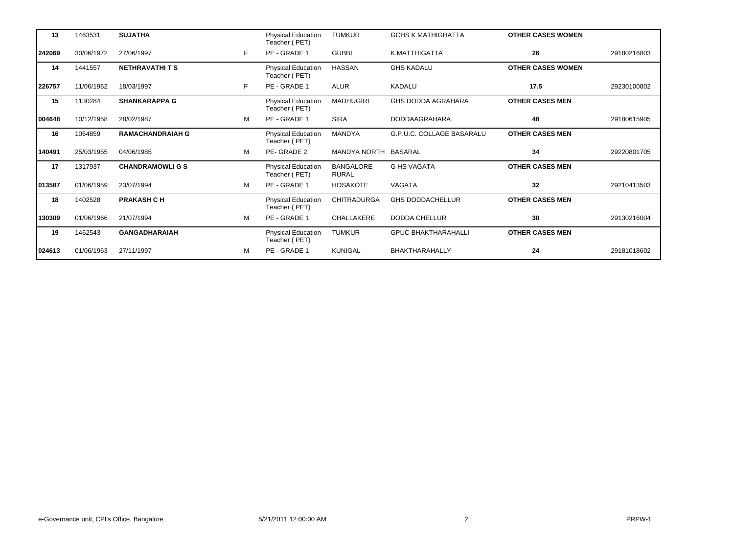| 13     | 1463531    | <b>SUJATHA</b>          |   | <b>Physical Education</b><br>Teacher (PET) | <b>TUMKUR</b>                    | <b>GCHS K MATHIGHATTA</b>  | <b>OTHER CASES WOMEN</b> |             |
|--------|------------|-------------------------|---|--------------------------------------------|----------------------------------|----------------------------|--------------------------|-------------|
| 242069 | 30/06/1972 | 27/06/1997              | F | PE - GRADE 1                               | <b>GUBBI</b>                     | K.MATTHIGATTA              | 26                       | 29180216803 |
| 14     | 1441557    | <b>NETHRAVATHITS</b>    |   | Physical Education<br>Teacher (PET)        | HASSAN                           | <b>GHS KADALU</b>          | <b>OTHER CASES WOMEN</b> |             |
| 226757 | 11/06/1962 | 18/03/1997              | F | PE - GRADE 1                               | ALUR                             | <b>KADALU</b>              | 17.5                     | 29230100802 |
| 15     | 1130284    | <b>SHANKARAPPA G</b>    |   | Physical Education<br>Teacher (PET)        | <b>MADHUGIRI</b>                 | <b>GHS DODDA AGRAHARA</b>  | <b>OTHER CASES MEN</b>   |             |
| 004648 | 10/12/1958 | 28/02/1987              | м | PE - GRADE 1                               | <b>SIRA</b>                      | <b>DODDAAGRAHARA</b>       | 48                       | 29180615905 |
| 16     | 1064859    | <b>RAMACHANDRAIAH G</b> |   | Physical Education<br>Teacher (PET)        | <b>MANDYA</b>                    | G.P.U.C. COLLAGE BASARALU  | <b>OTHER CASES MEN</b>   |             |
| 140491 | 25/03/1955 | 04/06/1985              | м | PE-GRADE 2                                 | MANDYA NORTH                     | <b>BASARAL</b>             | 34                       | 29220801705 |
| 17     | 1317937    | <b>CHANDRAMOWLIGS</b>   |   | <b>Physical Education</b><br>Teacher (PET) | <b>BANGALORE</b><br><b>RURAL</b> | <b>G HS VAGATA</b>         | <b>OTHER CASES MEN</b>   |             |
| 013587 | 01/06/1959 | 23/07/1994              | M | PE - GRADE 1                               | <b>HOSAKOTE</b>                  | VAGATA                     | 32                       | 29210413503 |
| 18     | 1402528    | <b>PRAKASH CH</b>       |   | Physical Education<br>Teacher (PET)        | <b>CHITRADURGA</b>               | <b>GHS DODDACHELLUR</b>    | <b>OTHER CASES MEN</b>   |             |
| 130309 | 01/06/1966 | 21/07/1994              | м | PE - GRADE 1                               | CHALLAKERE                       | <b>DODDA CHELLUR</b>       | 30                       | 29130216004 |
| 19     | 1462543    | <b>GANGADHARAIAH</b>    |   | Physical Education<br>Teacher (PET)        | <b>TUMKUR</b>                    | <b>GPUC BHAKTHARAHALLI</b> | <b>OTHER CASES MEN</b>   |             |
| 024613 | 01/06/1963 | 27/11/1997              | м | PE - GRADE 1                               | <b>KUNIGAL</b>                   | <b>BHAKTHARAHALLY</b>      | 24                       | 29181018602 |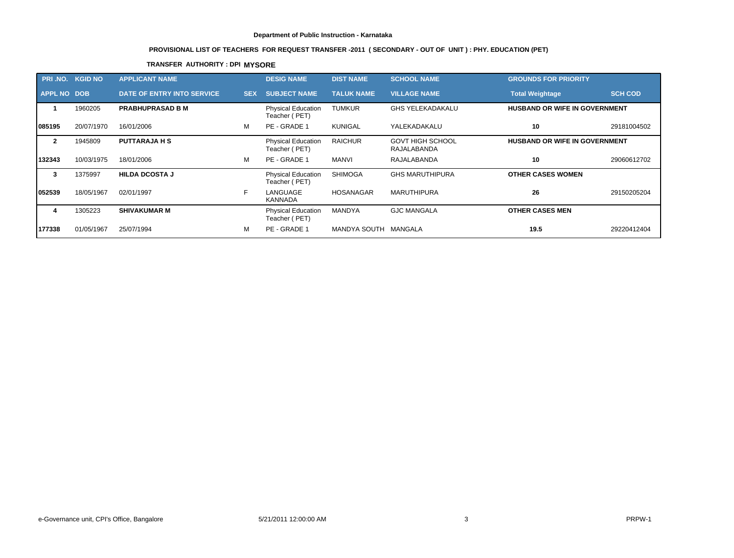# **PROVISIONAL LIST OF TEACHERS FOR REQUEST TRANSFER -2011 ( SECONDARY - OUT OF UNIT ) : PHY. EDUCATION (PET)**

## **TRANSFER AUTHORITY : DPI MYSORE**

|                    | <b>PRI .NO. KGID NO</b> | <b>APPLICANT NAME</b>             |            | <b>DESIG NAME</b>                          | <b>DIST NAME</b>  | <b>SCHOOL NAME</b>                     | <b>GROUNDS FOR PRIORITY</b>          |                |
|--------------------|-------------------------|-----------------------------------|------------|--------------------------------------------|-------------------|----------------------------------------|--------------------------------------|----------------|
| <b>APPL NO DOB</b> |                         | <b>DATE OF ENTRY INTO SERVICE</b> | <b>SEX</b> | <b>SUBJECT NAME</b>                        | <b>TALUK NAME</b> | <b>VILLAGE NAME</b>                    | <b>Total Weightage</b>               | <b>SCH COD</b> |
|                    | 1960205                 | <b>PRABHUPRASAD B M</b>           |            | <b>Physical Education</b><br>Teacher (PET) | <b>TUMKUR</b>     | <b>GHS YELEKADAKALU</b>                | <b>HUSBAND OR WIFE IN GOVERNMENT</b> |                |
| 1085195            | 20/07/1970              | 16/01/2006                        | м          | PE - GRADE 1                               | KUNIGAL           | YALEKADAKALU                           | 10                                   | 29181004502    |
| $\mathbf{2}$       | 1945809                 | <b>PUTTARAJA H S</b>              |            | <b>Physical Education</b><br>Teacher (PET) | <b>RAICHUR</b>    | <b>GOVT HIGH SCHOOL</b><br>RAJALABANDA | <b>HUSBAND OR WIFE IN GOVERNMENT</b> |                |
| 132343             | 10/03/1975              | 18/01/2006                        | M          | PE - GRADE 1                               | <b>MANVI</b>      | RAJALABANDA                            | 10                                   | 29060612702    |
| 3                  | 1375997                 | <b>HILDA DCOSTA J</b>             |            | <b>Physical Education</b><br>Teacher (PET) | <b>SHIMOGA</b>    | <b>GHS MARUTHIPURA</b>                 | <b>OTHER CASES WOMEN</b>             |                |
| 052539             | 18/05/1967              | 02/01/1997                        | F          | LANGUAGE<br>KANNADA                        | <b>HOSANAGAR</b>  | <b>MARUTHIPURA</b>                     | 26                                   | 29150205204    |
| 4                  | 1305223                 | <b>SHIVAKUMAR M</b>               |            | <b>Physical Education</b><br>Teacher (PET) | <b>MANDYA</b>     | <b>GJC MANGALA</b>                     | <b>OTHER CASES MEN</b>               |                |
| 177338             | 01/05/1967              | 25/07/1994                        | м          | PE - GRADE 1                               | MANDYA SOUTH      | MANGALA                                | 19.5                                 | 29220412404    |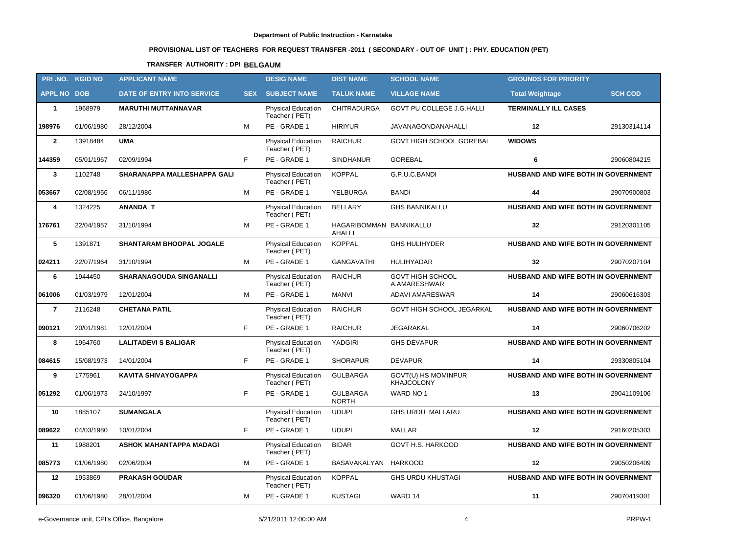# **PROVISIONAL LIST OF TEACHERS FOR REQUEST TRANSFER -2011 ( SECONDARY - OUT OF UNIT ) : PHY. EDUCATION (PET)**

## **TRANSFER AUTHORITY : DPI BELGAUM**

|                    | PRI.NO. KGID NO | <b>APPLICANT NAME</b>             |            | <b>DESIG NAME</b>                          | <b>DIST NAME</b>                         | <b>SCHOOL NAME</b>                       | <b>GROUNDS FOR PRIORITY</b>         |                |
|--------------------|-----------------|-----------------------------------|------------|--------------------------------------------|------------------------------------------|------------------------------------------|-------------------------------------|----------------|
| <b>APPL NO DOB</b> |                 | <b>DATE OF ENTRY INTO SERVICE</b> | <b>SEX</b> | <b>SUBJECT NAME</b>                        | <b>TALUK NAME</b>                        | <b>VILLAGE NAME</b>                      | <b>Total Weightage</b>              | <b>SCH COD</b> |
| $\mathbf{1}$       | 1968979         | <b>MARUTHI MUTTANNAVAR</b>        |            | <b>Physical Education</b><br>Teacher (PET) | <b>CHITRADURGA</b>                       | GOVT PU COLLEGE J.G.HALLI                | <b>TERMINALLY ILL CASES</b>         |                |
| 198976             | 01/06/1980      | 28/12/2004                        | м          | PE - GRADE 1                               | <b>HIRIYUR</b>                           | JAVANAGONDANAHALLI                       | 12                                  | 29130314114    |
| $\overline{2}$     | 13918484        | <b>UMA</b>                        |            | <b>Physical Education</b><br>Teacher (PET) | <b>RAICHUR</b>                           | GOVT HIGH SCHOOL GOREBAL                 | <b>WIDOWS</b>                       |                |
| 144359             | 05/01/1967      | 02/09/1994                        | F.         | PE - GRADE 1                               | <b>SINDHANUR</b>                         | <b>GOREBAL</b>                           | 6                                   | 29060804215    |
| $\mathbf{3}$       | 1102748         | SHARANAPPA MALLESHAPPA GALI       |            | Physical Education<br>Teacher (PET)        | <b>KOPPAL</b>                            | G.P.U.C.BANDI                            | HUSBAND AND WIFE BOTH IN GOVERNMENT |                |
| 053667             | 02/08/1956      | 06/11/1986                        | M          | PE - GRADE 1                               | YELBURGA                                 | <b>BANDI</b>                             | 44                                  | 29070900803    |
| 4                  | 1324225         | <b>ANANDA T</b>                   |            | Physical Education<br>Teacher (PET)        | <b>BELLARY</b>                           | <b>GHS BANNIKALLU</b>                    | HUSBAND AND WIFE BOTH IN GOVERNMENT |                |
| 176761             | 22/04/1957      | 31/10/1994                        | м          | PE - GRADE 1                               | HAGARIBOMMAN BANNIKALLU<br><b>AHALLI</b> |                                          | 32                                  | 29120301105    |
| 5                  | 1391871         | <b>SHANTARAM BHOOPAL JOGALE</b>   |            | <b>Physical Education</b><br>Teacher (PET) | <b>KOPPAL</b>                            | <b>GHS HULIHYDER</b>                     | HUSBAND AND WIFE BOTH IN GOVERNMENT |                |
| 024211             | 22/07/1964      | 31/10/1994                        | м          | PE - GRADE 1                               | <b>GANGAVATHI</b>                        | <b>HULIHYADAR</b>                        | 32                                  | 29070207104    |
| 6                  | 1944450         | <b>SHARANAGOUDA SINGANALLI</b>    |            | Physical Education<br>Teacher (PET)        | <b>RAICHUR</b>                           | <b>GOVT HIGH SCHOOL</b><br>A.AMARESHWAR  | HUSBAND AND WIFE BOTH IN GOVERNMENT |                |
| 061006             | 01/03/1979      | 12/01/2004                        | M          | PE - GRADE 1                               | <b>MANVI</b>                             | <b>ADAVI AMARESWAR</b>                   | 14                                  | 29060616303    |
| $\overline{7}$     | 2116248         | <b>CHETANA PATIL</b>              |            | <b>Physical Education</b><br>Teacher (PET) | <b>RAICHUR</b>                           | GOVT HIGH SCHOOL JEGARKAL                | HUSBAND AND WIFE BOTH IN GOVERNMENT |                |
| 090121             | 20/01/1981      | 12/01/2004                        | F.         | PE - GRADE 1                               | <b>RAICHUR</b>                           | JEGARAKAL                                | 14                                  | 29060706202    |
| 8                  | 1964760         | <b>LALITADEVI S BALIGAR</b>       |            | Physical Education<br>Teacher (PET)        | YADGIRI                                  | <b>GHS DEVAPUR</b>                       | HUSBAND AND WIFE BOTH IN GOVERNMENT |                |
| 084615             | 15/08/1973      | 14/01/2004                        | F.         | PE - GRADE 1                               | <b>SHORAPUR</b>                          | <b>DEVAPUR</b>                           | 14                                  | 29330805104    |
| 9                  | 1775961         | <b>KAVITA SHIVAYOGAPPA</b>        |            | <b>Physical Education</b><br>Teacher (PET) | <b>GULBARGA</b>                          | GOVT(U) HS MOMINPUR<br><b>KHAJCOLONY</b> | HUSBAND AND WIFE BOTH IN GOVERNMENT |                |
| 051292             | 01/06/1973      | 24/10/1997                        | F.         | PE - GRADE 1                               | <b>GULBARGA</b><br><b>NORTH</b>          | WARD NO 1                                | 13                                  | 29041109106    |
| 10                 | 1885107         | <b>SUMANGALA</b>                  |            | Physical Education<br>Teacher (PET)        | <b>UDUPI</b>                             | GHS URDU MALLARU                         | HUSBAND AND WIFE BOTH IN GOVERNMENT |                |
| 089622             | 04/03/1980      | 10/01/2004                        | F          | PE - GRADE 1                               | <b>UDUPI</b>                             | <b>MALLAR</b>                            | 12                                  | 29160205303    |
| 11                 | 1988201         | <b>ASHOK MAHANTAPPA MADAGI</b>    |            | <b>Physical Education</b><br>Teacher (PET) | <b>BIDAR</b>                             | GOVT H.S. HARKOOD                        | HUSBAND AND WIFE BOTH IN GOVERNMENT |                |
| 085773             | 01/06/1980      | 02/06/2004                        | м          | PE - GRADE 1                               | BASAVAKALYAN                             | <b>HARKOOD</b>                           | 12                                  | 29050206409    |
| 12                 | 1953869         | <b>PRAKASH GOUDAR</b>             |            | <b>Physical Education</b><br>Teacher (PET) | <b>KOPPAL</b>                            | <b>GHS URDU KHUSTAGI</b>                 | HUSBAND AND WIFE BOTH IN GOVERNMENT |                |
| 096320             | 01/06/1980      | 28/01/2004                        | м          | PE - GRADE 1                               | <b>KUSTAGI</b>                           | WARD 14                                  | 11                                  | 29070419301    |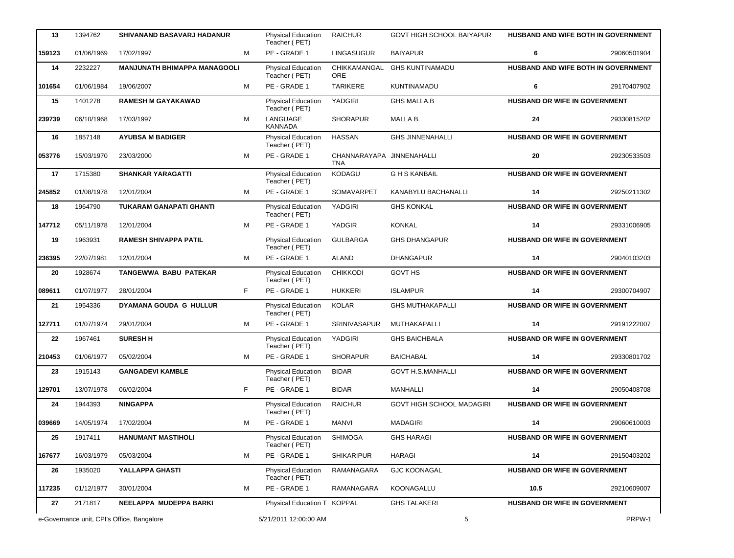| 13     | 1394762    | SHIVANAND BASAVARJ HADANUR                 |    | Physical Education<br>Teacher (PET)        | <b>RAICHUR</b>                          | GOVT HIGH SCHOOL BAIYAPUR        | HUSBAND AND WIFE BOTH IN GOVERNMENT  |             |
|--------|------------|--------------------------------------------|----|--------------------------------------------|-----------------------------------------|----------------------------------|--------------------------------------|-------------|
| 159123 | 01/06/1969 | 17/02/1997                                 | M  | PE - GRADE 1                               | <b>LINGASUGUR</b>                       | <b>BAIYAPUR</b>                  | 6                                    | 29060501904 |
| 14     | 2232227    | <b>MANJUNATH BHIMAPPA MANAGOOLI</b>        |    | Physical Education<br>Teacher (PET)        | CHIKKAMANGAL<br><b>ORE</b>              | <b>GHS KUNTINAMADU</b>           | HUSBAND AND WIFE BOTH IN GOVERNMENT  |             |
| 101654 | 01/06/1984 | 19/06/2007                                 | M  | PE - GRADE 1                               | <b>TARIKERE</b>                         | KUNTINAMADU                      | 6                                    | 29170407902 |
| 15     | 1401278    | <b>RAMESH M GAYAKAWAD</b>                  |    | Physical Education<br>Teacher (PET)        | YADGIRI                                 | <b>GHS MALLA.B</b>               | HUSBAND OR WIFE IN GOVERNMENT        |             |
| 239739 | 06/10/1968 | 17/03/1997                                 | M  | LANGUAGE<br><b>KANNADA</b>                 | <b>SHORAPUR</b>                         | MALLA B.                         | 24                                   | 29330815202 |
| 16     | 1857148    | <b>AYUBSA M BADIGER</b>                    |    | Physical Education<br>Teacher (PET)        | <b>HASSAN</b>                           | <b>GHS JINNENAHALLI</b>          | HUSBAND OR WIFE IN GOVERNMENT        |             |
| 053776 | 15/03/1970 | 23/03/2000                                 | M  | PE - GRADE 1                               | CHANNARAYAPA JINNENAHALLI<br><b>TNA</b> |                                  | 20                                   | 29230533503 |
| 17     | 1715380    | <b>SHANKAR YARAGATTI</b>                   |    | Physical Education<br>Teacher (PET)        | KODAGU                                  | <b>GHS KANBAIL</b>               | <b>HUSBAND OR WIFE IN GOVERNMENT</b> |             |
| 245852 | 01/08/1978 | 12/01/2004                                 | M  | PE - GRADE 1                               | SOMAVARPET                              | KANABYLU BACHANALLI              | 14                                   | 29250211302 |
| 18     | 1964790    | <b>TUKARAM GANAPATI GHANTI</b>             |    | Physical Education<br>Teacher (PET)        | YADGIRI                                 | <b>GHS KONKAL</b>                | HUSBAND OR WIFE IN GOVERNMENT        |             |
| 147712 | 05/11/1978 | 12/01/2004                                 | M  | PE - GRADE 1                               | YADGIR                                  | <b>KONKAL</b>                    | 14                                   | 29331006905 |
| 19     | 1963931    | <b>RAMESH SHIVAPPA PATIL</b>               |    | Physical Education<br>Teacher (PET)        | <b>GULBARGA</b>                         | <b>GHS DHANGAPUR</b>             | HUSBAND OR WIFE IN GOVERNMENT        |             |
| 236395 | 22/07/1981 | 12/01/2004                                 | M  | PE - GRADE 1                               | <b>ALAND</b>                            | <b>DHANGAPUR</b>                 | 14                                   | 29040103203 |
| 20     | 1928674    | <b>TANGEWWA BABU PATEKAR</b>               |    | Physical Education<br>Teacher (PET)        | <b>CHIKKODI</b>                         | <b>GOVT HS</b>                   | HUSBAND OR WIFE IN GOVERNMENT        |             |
| 089611 | 01/07/1977 | 28/01/2004                                 | F. | PE - GRADE 1                               | <b>HUKKERI</b>                          | <b>ISLAMPUR</b>                  | 14                                   | 29300704907 |
| 21     | 1954336    | DYAMANA GOUDA G HULLUR                     |    | Physical Education<br>Teacher (PET)        | <b>KOLAR</b>                            | <b>GHS MUTHAKAPALLI</b>          | HUSBAND OR WIFE IN GOVERNMENT        |             |
| 127711 | 01/07/1974 | 29/01/2004                                 | M  | PE - GRADE 1                               | SRINIVASAPUR                            | MUTHAKAPALLI                     | 14                                   | 29191222007 |
| 22     | 1967461    | <b>SURESH H</b>                            |    | Physical Education<br>Teacher (PET)        | YADGIRI                                 | <b>GHS BAICHBALA</b>             | HUSBAND OR WIFE IN GOVERNMENT        |             |
| 210453 | 01/06/1977 | 05/02/2004                                 | M  | PE - GRADE 1                               | <b>SHORAPUR</b>                         | <b>BAICHABAL</b>                 | 14                                   | 29330801702 |
| 23     | 1915143    | <b>GANGADEVI KAMBLE</b>                    |    | Physical Education<br>Teacher (PET)        | <b>BIDAR</b>                            | <b>GOVT H.S.MANHALLI</b>         | HUSBAND OR WIFE IN GOVERNMENT        |             |
| 129701 | 13/07/1978 | 06/02/2004                                 | F  | PE - GRADE 1                               | <b>BIDAR</b>                            | MANHALLI                         | 14                                   | 29050408708 |
| 24     | 1944393    | <b>NINGAPPA</b>                            |    | <b>Physical Education</b><br>Teacher (PET) | <b>RAICHUR</b>                          | <b>GOVT HIGH SCHOOL MADAGIRI</b> | HUSBAND OR WIFE IN GOVERNMENT        |             |
| 039669 | 14/05/1974 | 17/02/2004                                 | M  | PE - GRADE 1                               | <b>MANVI</b>                            | <b>MADAGIRI</b>                  | 14                                   | 29060610003 |
| 25     | 1917411    | <b>HANUMANT MASTIHOLI</b>                  |    | Physical Education<br>Teacher (PET)        | <b>SHIMOGA</b>                          | <b>GHS HARAGI</b>                | HUSBAND OR WIFE IN GOVERNMENT        |             |
| 167677 | 16/03/1979 | 05/03/2004                                 | м  | PE - GRADE 1                               | <b>SHIKARIPUR</b>                       | <b>HARAGI</b>                    | 14                                   | 29150403202 |
| 26     | 1935020    | YALLAPPA GHASTI                            |    | Physical Education<br>Teacher (PET)        | RAMANAGARA                              | <b>GJC KOONAGAL</b>              | HUSBAND OR WIFE IN GOVERNMENT        |             |
| 117235 | 01/12/1977 | 30/01/2004                                 | M  | PE - GRADE 1                               | RAMANAGARA                              | KOONAGALLU                       | 10.5                                 | 29210609007 |
| 27     | 2171817    | NEELAPPA MUDEPPA BARKI                     |    | Physical Education T KOPPAL                |                                         | <b>GHS TALAKERI</b>              | HUSBAND OR WIFE IN GOVERNMENT        |             |
|        |            | e-Governance unit, CPI's Office, Bangalore |    | 5/21/2011 12:00:00 AM                      |                                         | 5                                |                                      | PRPW-1      |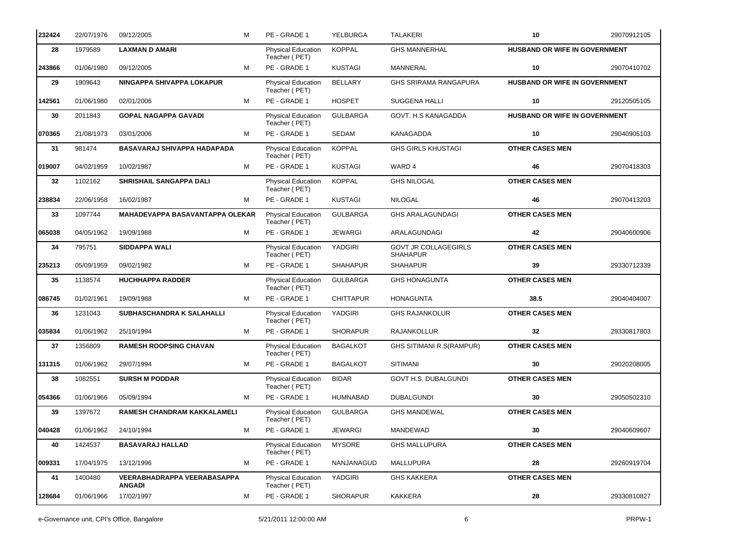| 232424 | 22/07/1976 | 09/12/2005                                   | М | PE - GRADE 1                               | YELBURGA         | <b>TALAKERI</b>                                | 10                                   | 29070912105 |
|--------|------------|----------------------------------------------|---|--------------------------------------------|------------------|------------------------------------------------|--------------------------------------|-------------|
| 28     | 1979589    | LAXMAN D AMARI                               |   | <b>Physical Education</b><br>Teacher (PET) | <b>KOPPAL</b>    | <b>GHS MANNERHAL</b>                           | HUSBAND OR WIFE IN GOVERNMENT        |             |
| 243866 | 01/06/1980 | 09/12/2005                                   | м | PE - GRADE 1                               | <b>KUSTAGI</b>   | MANNERAL                                       | 10                                   | 29070410702 |
| 29     | 1909643    | <b>NINGAPPA SHIVAPPA LOKAPUR</b>             |   | Physical Education<br>Teacher (PET)        | <b>BELLARY</b>   | <b>GHS SRIRAMA RANGAPURA</b>                   | HUSBAND OR WIFE IN GOVERNMENT        |             |
| 142561 | 01/06/1980 | 02/01/2006                                   | м | PE - GRADE 1                               | <b>HOSPET</b>    | SUGGENA HALLI                                  | 10                                   | 29120505105 |
| 30     | 2011843    | <b>GOPAL NAGAPPA GAVADI</b>                  |   | Physical Education<br>Teacher (PET)        | <b>GULBARGA</b>  | GOVT. H.S KANAGADDA                            | <b>HUSBAND OR WIFE IN GOVERNMENT</b> |             |
| 070365 | 21/08/1973 | 03/01/2006                                   | M | PE - GRADE 1                               | <b>SEDAM</b>     | KANAGADDA                                      | 10                                   | 29040905103 |
| 31     | 981474     | BASAVARAJ SHIVAPPA HADAPADA                  |   | Physical Education<br>Teacher (PET)        | <b>KOPPAL</b>    | <b>GHS GIRLS KHUSTAGI</b>                      | <b>OTHER CASES MEN</b>               |             |
| 019007 | 04/02/1959 | 10/02/1987                                   | M | PE - GRADE 1                               | <b>KUSTAGI</b>   | WARD 4                                         | 46                                   | 29070418303 |
| 32     | 1102162    | SHRISHAIL SANGAPPA DALI                      |   | <b>Physical Education</b><br>Teacher (PET) | <b>KOPPAL</b>    | <b>GHS NILOGAL</b>                             | <b>OTHER CASES MEN</b>               |             |
| 238834 | 22/06/1958 | 16/02/1987                                   | M | PE - GRADE 1                               | <b>KUSTAGI</b>   | <b>NILOGAL</b>                                 | 46                                   | 29070413203 |
| 33     | 1097744    | MAHADEVAPPA BASAVANTAPPA OLEKAR              |   | <b>Physical Education</b><br>Teacher (PET) | <b>GULBARGA</b>  | <b>GHS ARALAGUNDAGI</b>                        | <b>OTHER CASES MEN</b>               |             |
| 065038 | 04/05/1962 | 19/09/1988                                   | M | PE - GRADE 1                               | <b>JEWARGI</b>   | ARALAGUNDAGI                                   | 42                                   | 29040600906 |
| 34     | 795751     | <b>SIDDAPPA WALI</b>                         |   | Physical Education<br>Teacher (PET)        | YADGIRI          | <b>GOVT JR COLLAGEGIRLS</b><br><b>SHAHAPUR</b> | <b>OTHER CASES MEN</b>               |             |
| 235213 | 05/09/1959 | 09/02/1982                                   | м | PE - GRADE 1                               | <b>SHAHAPUR</b>  | <b>SHAHAPUR</b>                                | 39                                   | 29330712339 |
| 35     | 1138574    | <b>HUCHHAPPA RADDER</b>                      |   | Physical Education<br>Teacher (PET)        | <b>GULBARGA</b>  | <b>GHS HONAGUNTA</b>                           | <b>OTHER CASES MEN</b>               |             |
| 086745 | 01/02/1961 | 19/09/1988                                   | м | PE - GRADE 1                               | <b>CHITTAPUR</b> | <b>HONAGUNTA</b>                               | 38.5                                 | 29040404007 |
| 36     | 1231043    | SUBHASCHANDRA K SALAHALLI                    |   | Physical Education<br>Teacher (PET)        | YADGIRI          | <b>GHS RAJANKOLUR</b>                          | <b>OTHER CASES MEN</b>               |             |
| 035834 | 01/06/1962 | 25/10/1994                                   | M | PE - GRADE 1                               | <b>SHORAPUR</b>  | <b>RAJANKOLLUR</b>                             | 32                                   | 29330817803 |
| 37     | 1356809    | <b>RAMESH ROOPSING CHAVAN</b>                |   | Physical Education<br>Teacher (PET)        | <b>BAGALKOT</b>  | GHS SITIMANI R.S(RAMPUR)                       | <b>OTHER CASES MEN</b>               |             |
| 131315 | 01/06/1962 | 29/07/1994                                   | м | PE - GRADE 1                               | <b>BAGALKOT</b>  | <b>SITIMANI</b>                                | 30                                   | 29020208005 |
| 38     | 1082551    | <b>SURSH M PODDAR</b>                        |   | Physical Education<br>Teacher (PET)        | <b>BIDAR</b>     | <b>GOVT H.S. DUBALGUNDI</b>                    | <b>OTHER CASES MEN</b>               |             |
| 054366 | 01/06/1966 | 05/09/1994                                   | М | PE - GRADE 1                               | HUMNABAD         | <b>DUBALGUNDI</b>                              | 30                                   | 29050502310 |
| 39     | 1397672    | RAMESH CHANDRAM KAKKALAMELI                  |   | Physical Education<br>Teacher (PET)        | <b>GULBARGA</b>  | <b>GHS MANDEWAL</b>                            | <b>OTHER CASES MEN</b>               |             |
| 040428 | 01/06/1962 | 24/10/1994                                   | м | PE - GRADE 1                               | <b>JEWARGI</b>   | MANDEWAD                                       | 30                                   | 29040609607 |
| 40     | 1424537    | <b>BASAVARAJ HALLAD</b>                      |   | Physical Education<br>Teacher (PET)        | <b>MYSORE</b>    | <b>GHS MALLUPURA</b>                           | <b>OTHER CASES MEN</b>               |             |
| 009331 | 17/04/1975 | 13/12/1996                                   | М | PE - GRADE 1                               | NANJANAGUD       | <b>MALLUPURA</b>                               | 28                                   | 29260919704 |
| 41     | 1400480    | VEERABHADRAPPA VEERABASAPPA<br><b>ANGADI</b> |   | <b>Physical Education</b><br>Teacher (PET) | YADGIRI          | <b>GHS KAKKERA</b>                             | <b>OTHER CASES MEN</b>               |             |
| 128684 | 01/06/1966 | 17/02/1997                                   | м | PE - GRADE 1                               | <b>SHORAPUR</b>  | <b>KAKKERA</b>                                 | 28                                   | 29330810827 |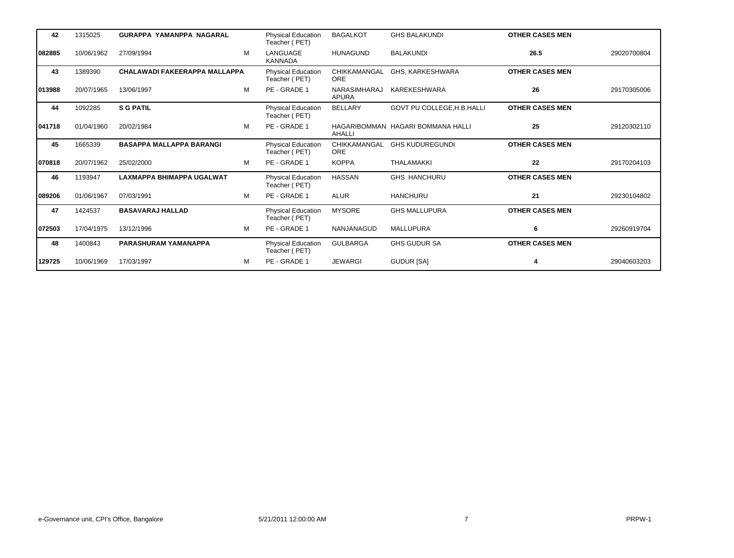| 42     | 1315025    | <b>GURAPPA YAMANPPA NAGARAL</b>      |   | <b>Physical Education</b><br>Teacher (PET) | <b>BAGALKOT</b>              | <b>GHS BALAKUNDI</b>              | <b>OTHER CASES MEN</b> |             |
|--------|------------|--------------------------------------|---|--------------------------------------------|------------------------------|-----------------------------------|------------------------|-------------|
| 082885 | 10/06/1962 | 27/09/1994                           | M | LANGUAGE<br><b>KANNADA</b>                 | <b>HUNAGUND</b>              | <b>BALAKUNDI</b>                  | 26.5                   | 29020700804 |
| 43     | 1389390    | <b>CHALAWADI FAKEERAPPA MALLAPPA</b> |   | <b>Physical Education</b><br>Teacher (PET) | CHIKKAMANGAL<br><b>ORE</b>   | GHS, KARKESHWARA                  | <b>OTHER CASES MEN</b> |             |
| 013988 | 20/07/1965 | 13/06/1997                           | M | PE - GRADE 1                               | NARASIMHARAJ<br><b>APURA</b> | KAREKESHWARA                      | 26                     | 29170305006 |
| 44     | 1092285    | <b>S G PATIL</b>                     |   | <b>Physical Education</b><br>Teacher (PET) | <b>BELLARY</b>               | GOVT PU COLLEGE, H.B. HALLI       | <b>OTHER CASES MEN</b> |             |
| 041718 | 01/04/1960 | 20/02/1984                           | M | PE - GRADE 1                               | AHALLI                       | HAGARIBOMMAN HAGARI BOMMANA HALLI | 25                     | 29120302110 |
| 45     | 1665339    | <b>BASAPPA MALLAPPA BARANGI</b>      |   | <b>Physical Education</b><br>Teacher (PET) | CHIKKAMANGAL<br><b>ORE</b>   | <b>GHS KUDUREGUNDI</b>            | <b>OTHER CASES MEN</b> |             |
| 070818 | 20/07/1962 | 25/02/2000                           | M | PE - GRADE 1                               | <b>KOPPA</b>                 | <b>THALAMAKKI</b>                 | 22                     | 29170204103 |
| 46     | 1193947    | LAXMAPPA BHIMAPPA UGALWAT            |   | <b>Physical Education</b><br>Teacher (PET) | <b>HASSAN</b>                | <b>GHS HANCHURU</b>               | <b>OTHER CASES MEN</b> |             |
| 089206 | 01/06/1967 | 07/03/1991                           | M | PE - GRADE 1                               | <b>ALUR</b>                  | <b>HANCHURU</b>                   | 21                     | 29230104802 |
| 47     | 1424537    | <b>BASAVARAJ HALLAD</b>              |   | <b>Physical Education</b><br>Teacher (PET) | <b>MYSORE</b>                | <b>GHS MALLUPURA</b>              | <b>OTHER CASES MEN</b> |             |
| 072503 | 17/04/1975 | 13/12/1996                           | M | PE - GRADE 1                               | NANJANAGUD                   | <b>MALLUPURA</b>                  | 6                      | 29260919704 |
| 48     | 1400843    | PARASHURAM YAMANAPPA                 |   | <b>Physical Education</b><br>Teacher (PET) | <b>GULBARGA</b>              | <b>GHS GUDUR SA</b>               | <b>OTHER CASES MEN</b> |             |
| 129725 | 10/06/1969 | 17/03/1997                           | M | PE - GRADE 1                               | <b>JEWARGI</b>               | <b>GUDUR [SA]</b>                 |                        | 29040603203 |